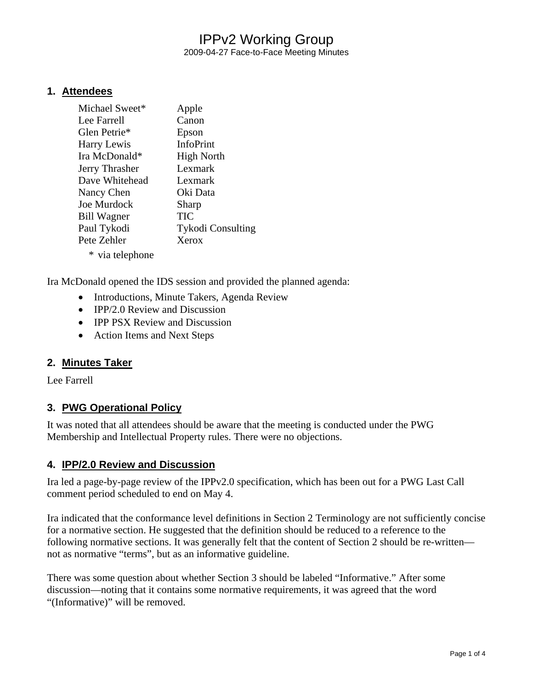2009-04-27 Face-to-Face Meeting Minutes

#### **1. Attendees**

| Michael Sweet*     | Apple                    |
|--------------------|--------------------------|
| Lee Farrell        | Canon                    |
| Glen Petrie*       | Epson                    |
| Harry Lewis        | <b>InfoPrint</b>         |
| Ira McDonald*      | <b>High North</b>        |
| Jerry Thrasher     | Lexmark                  |
| Dave Whitehead     | Lexmark                  |
| Nancy Chen         | Oki Data                 |
| Joe Murdock        | Sharp                    |
| <b>Bill Wagner</b> | TIC                      |
| Paul Tykodi        | <b>Tykodi Consulting</b> |
| Pete Zehler        | Xerox                    |
| * via telephone    |                          |

Ira McDonald opened the IDS session and provided the planned agenda:

- Introductions, Minute Takers, Agenda Review
- IPP/2.0 Review and Discussion
- IPP PSX Review and Discussion
- Action Items and Next Steps

### **2. Minutes Taker**

Lee Farrell

### **3. PWG Operational Policy**

It was noted that all attendees should be aware that the meeting is conducted under the PWG Membership and Intellectual Property rules. There were no objections.

#### **4. IPP/2.0 Review and Discussion**

Ira led a page-by-page review of the IPPv2.0 specification, which has been out for a PWG Last Call comment period scheduled to end on May 4.

Ira indicated that the conformance level definitions in Section 2 Terminology are not sufficiently concise for a normative section. He suggested that the definition should be reduced to a reference to the following normative sections. It was generally felt that the content of Section 2 should be re-written not as normative "terms", but as an informative guideline.

There was some question about whether Section 3 should be labeled "Informative." After some discussion—noting that it contains some normative requirements, it was agreed that the word "(Informative)" will be removed.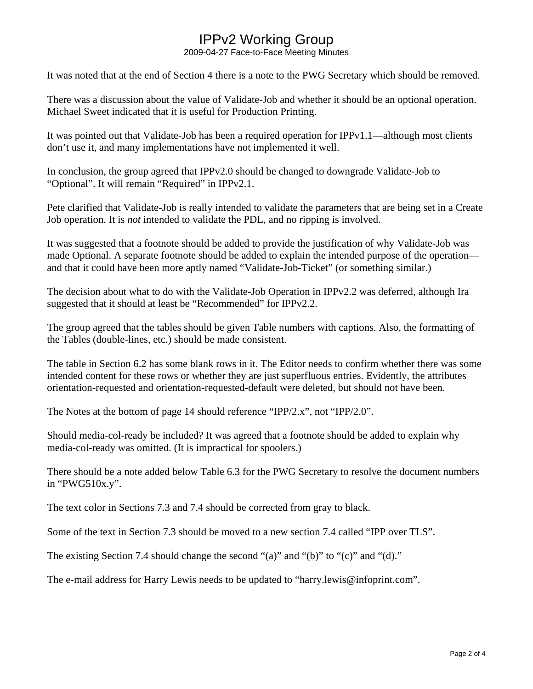2009-04-27 Face-to-Face Meeting Minutes

It was noted that at the end of Section 4 there is a note to the PWG Secretary which should be removed.

There was a discussion about the value of Validate-Job and whether it should be an optional operation. Michael Sweet indicated that it is useful for Production Printing.

It was pointed out that Validate-Job has been a required operation for IPPv1.1—although most clients don't use it, and many implementations have not implemented it well.

In conclusion, the group agreed that IPPv2.0 should be changed to downgrade Validate-Job to "Optional". It will remain "Required" in IPPv2.1.

Pete clarified that Validate-Job is really intended to validate the parameters that are being set in a Create Job operation. It is *not* intended to validate the PDL, and no ripping is involved.

It was suggested that a footnote should be added to provide the justification of why Validate-Job was made Optional. A separate footnote should be added to explain the intended purpose of the operation and that it could have been more aptly named "Validate-Job-Ticket" (or something similar.)

The decision about what to do with the Validate-Job Operation in IPPv2.2 was deferred, although Ira suggested that it should at least be "Recommended" for IPPv2.2.

The group agreed that the tables should be given Table numbers with captions. Also, the formatting of the Tables (double-lines, etc.) should be made consistent.

The table in Section 6.2 has some blank rows in it. The Editor needs to confirm whether there was some intended content for these rows or whether they are just superfluous entries. Evidently, the attributes orientation-requested and orientation-requested-default were deleted, but should not have been.

The Notes at the bottom of page 14 should reference "IPP/2.x", not "IPP/2.0".

Should media-col-ready be included? It was agreed that a footnote should be added to explain why media-col-ready was omitted. (It is impractical for spoolers.)

There should be a note added below Table 6.3 for the PWG Secretary to resolve the document numbers in "PWG510x.y".

The text color in Sections 7.3 and 7.4 should be corrected from gray to black.

Some of the text in Section 7.3 should be moved to a new section 7.4 called "IPP over TLS".

The existing Section 7.4 should change the second "(a)" and "(b)" to "(c)" and "(d)."

The e-mail address for Harry Lewis needs to be updated to "harry.lewis@infoprint.com".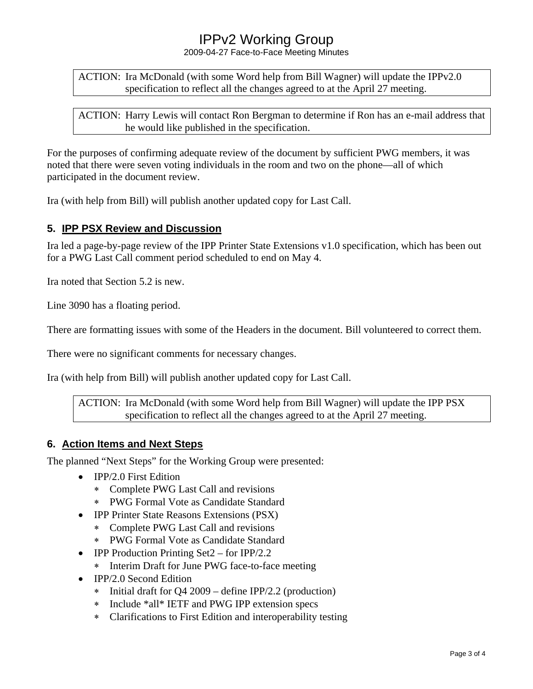2009-04-27 Face-to-Face Meeting Minutes

ACTION: Ira McDonald (with some Word help from Bill Wagner) will update the IPPv2.0 specification to reflect all the changes agreed to at the April 27 meeting.

ACTION: Harry Lewis will contact Ron Bergman to determine if Ron has an e-mail address that he would like published in the specification.

For the purposes of confirming adequate review of the document by sufficient PWG members, it was noted that there were seven voting individuals in the room and two on the phone—all of which participated in the document review.

Ira (with help from Bill) will publish another updated copy for Last Call.

### **5. IPP PSX Review and Discussion**

Ira led a page-by-page review of the IPP Printer State Extensions v1.0 specification, which has been out for a PWG Last Call comment period scheduled to end on May 4.

Ira noted that Section 5.2 is new.

Line 3090 has a floating period.

There are formatting issues with some of the Headers in the document. Bill volunteered to correct them.

There were no significant comments for necessary changes.

Ira (with help from Bill) will publish another updated copy for Last Call.

ACTION: Ira McDonald (with some Word help from Bill Wagner) will update the IPP PSX specification to reflect all the changes agreed to at the April 27 meeting.

### **6. Action Items and Next Steps**

The planned "Next Steps" for the Working Group were presented:

- IPP/2.0 First Edition
	- ∗ Complete PWG Last Call and revisions
	- ∗ PWG Formal Vote as Candidate Standard
- IPP Printer State Reasons Extensions (PSX)
	- ∗ Complete PWG Last Call and revisions
	- ∗ PWG Formal Vote as Candidate Standard
- IPP Production Printing Set2 for IPP/2.2
	- ∗ Interim Draft for June PWG face-to-face meeting
- IPP/2.0 Second Edition
	- ∗ Initial draft for Q4 2009 define IPP/2.2 (production)
	- ∗ Include \*all\* IETF and PWG IPP extension specs
	- ∗ Clarifications to First Edition and interoperability testing